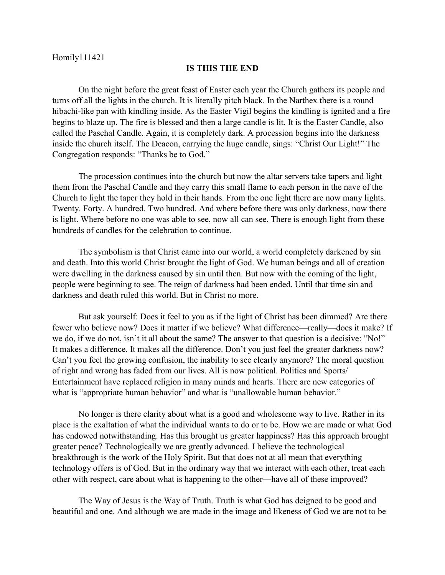## **IS THIS THE END**

On the night before the great feast of Easter each year the Church gathers its people and turns off all the lights in the church. It is literally pitch black. In the Narthex there is a round hibachi-like pan with kindling inside. As the Easter Vigil begins the kindling is ignited and a fire begins to blaze up. The fire is blessed and then a large candle is lit. It is the Easter Candle, also called the Paschal Candle. Again, it is completely dark. A procession begins into the darkness inside the church itself. The Deacon, carrying the huge candle, sings: "Christ Our Light!" The Congregation responds: "Thanks be to God."

The procession continues into the church but now the altar servers take tapers and light them from the Paschal Candle and they carry this small flame to each person in the nave of the Church to light the taper they hold in their hands. From the one light there are now many lights. Twenty. Forty. A hundred. Two hundred. And where before there was only darkness, now there is light. Where before no one was able to see, now all can see. There is enough light from these hundreds of candles for the celebration to continue.

The symbolism is that Christ came into our world, a world completely darkened by sin and death. Into this world Christ brought the light of God. We human beings and all of creation were dwelling in the darkness caused by sin until then. But now with the coming of the light, people were beginning to see. The reign of darkness had been ended. Until that time sin and darkness and death ruled this world. But in Christ no more.

But ask yourself: Does it feel to you as if the light of Christ has been dimmed? Are there fewer who believe now? Does it matter if we believe? What difference—really—does it make? If we do, if we do not, isn't it all about the same? The answer to that question is a decisive: "No!" It makes a difference. It makes all the difference. Don't you just feel the greater darkness now? Can't you feel the growing confusion, the inability to see clearly anymore? The moral question of right and wrong has faded from our lives. All is now political. Politics and Sports/ Entertainment have replaced religion in many minds and hearts. There are new categories of what is "appropriate human behavior" and what is "unallowable human behavior."

No longer is there clarity about what is a good and wholesome way to live. Rather in its place is the exaltation of what the individual wants to do or to be. How we are made or what God has endowed notwithstanding. Has this brought us greater happiness? Has this approach brought greater peace? Technologically we are greatly advanced. I believe the technological breakthrough is the work of the Holy Spirit. But that does not at all mean that everything technology offers is of God. But in the ordinary way that we interact with each other, treat each other with respect, care about what is happening to the other—have all of these improved?

The Way of Jesus is the Way of Truth. Truth is what God has deigned to be good and beautiful and one. And although we are made in the image and likeness of God we are not to be